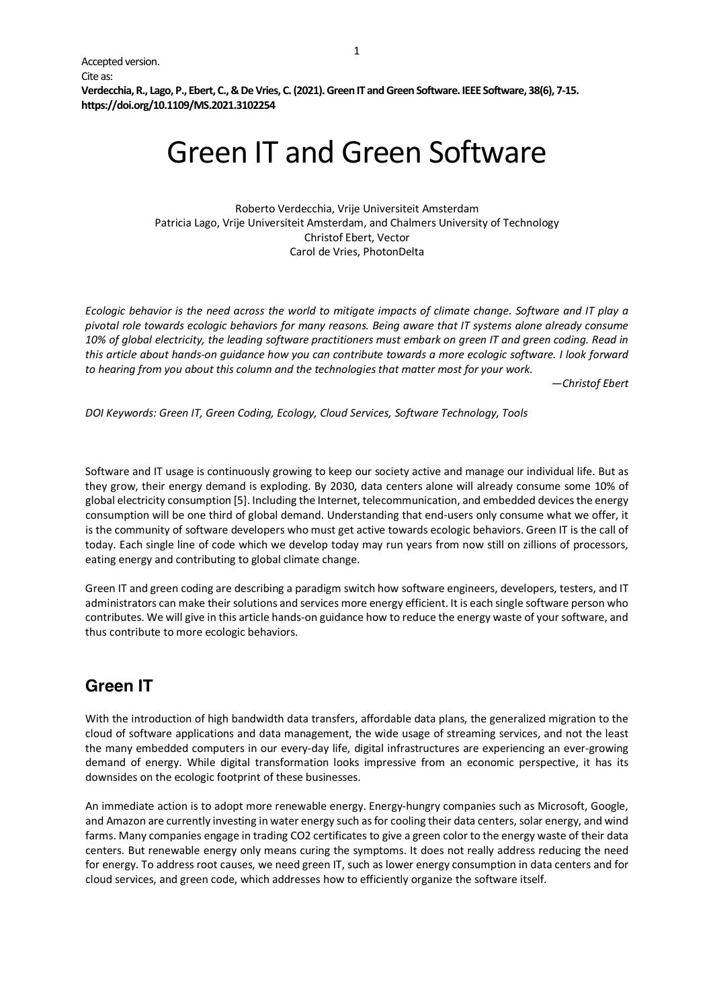# Green IT and Green Software

Roberto Verdecchia, Vrije Universiteit Amsterdam Patricia Lago, Vrije Universiteit Amsterdam, and Chalmers University of Technology Christof Ebert, Vector Carol de Vries, PhotonDelta

*Ecologic behavior is the need across the world to mitigate impacts of climate change. Software and IT play a pivotal role towards ecologic behaviors for many reasons. Being aware that IT systems alone already consume 10% of global electricity, the leading software practitioners must embark on green IT and green coding. Read in this article about hands-on guidance how you can contribute towards a more ecologic software. I look forward to hearing from you about this column and the technologies that matter most for your work.* 

*—Christof Ebert*

*DOI Keywords: Green IT, Green Coding, Ecology, Cloud Services, Software Technology, Tools*

Software and IT usage is continuously growing to keep our society active and manage our individual life. But as they grow, their energy demand is exploding. By 2030, data centers alone will already consume some 10% of global electricity consumption [5]. Including the Internet, telecommunication, and embedded devices the energy consumption will be one third of global demand. Understanding that end-users only consume what we offer, it is the community of software developers who must get active towards ecologic behaviors. Green IT is the call of today. Each single line of code which we develop today may run years from now still on zillions of processors, eating energy and contributing to global climate change.

Green IT and green coding are describing a paradigm switch how software engineers, developers, testers, and IT administrators can make their solutions and services more energy efficient. It is each single software person who contributes. We will give in this article hands-on guidance how to reduce the energy waste of your software, and thus contribute to more ecologic behaviors.

# **Green IT**

With the introduction of high bandwidth data transfers, affordable data plans, the generalized migration to the cloud of software applications and data management, the wide usage of streaming services, and not the least the many embedded computers in our every-day life, digital infrastructures are experiencing an ever-growing demand of energy. While digital transformation looks impressive from an economic perspective, it has its downsides on the ecologic footprint of these businesses.

An immediate action is to adopt more renewable energy. Energy-hungry companies such as Microsoft, Google, and Amazon are currently investing in water energy such as for cooling their data centers, solar energy, and wind farms. Many companies engage in trading CO2 certificates to give a green color to the energy waste of their data centers. But renewable energy only means curing the symptoms. It does not really address reducing the need for energy. To address root causes, we need green IT, such as lower energy consumption in data centers and for cloud services, and green code, which addresses how to efficiently organize the software itself.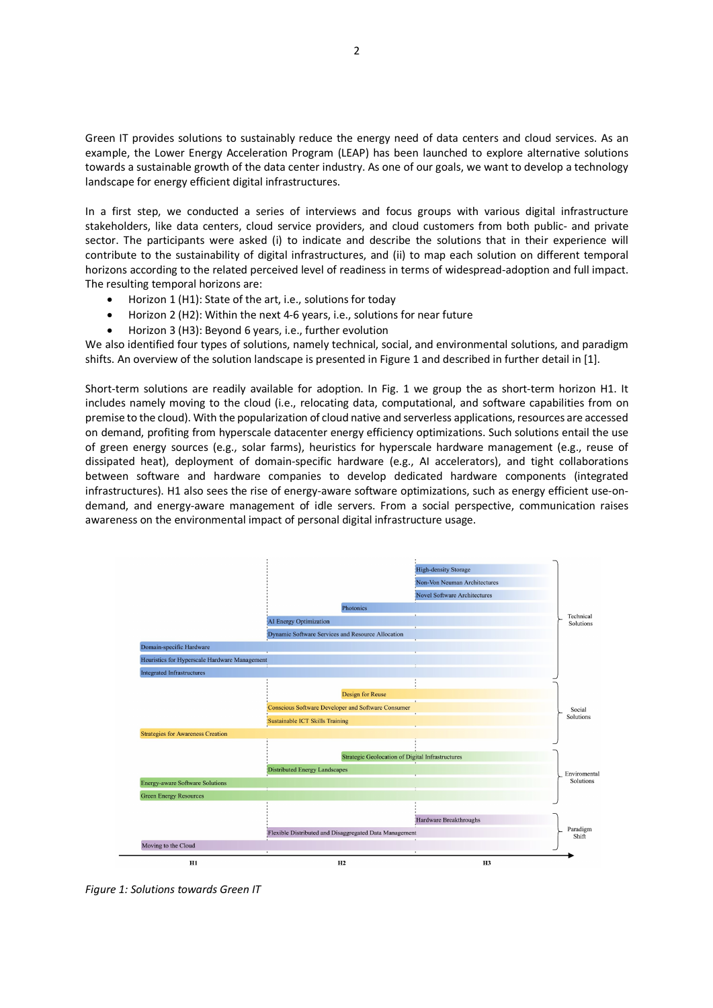Green IT provides solutions to sustainably reduce the energy need of data centers and cloud services. As an example, the Lower Energy Acceleration Program (LEAP) has been launched to explore alternative solutions towards a sustainable growth of the data center industry. As one of our goals, we want to develop a technology landscape for energy efficient digital infrastructures.

In a first step, we conducted a series of interviews and focus groups with various digital infrastructure stakeholders, like data centers, cloud service providers, and cloud customers from both public- and private sector. The participants were asked (i) to indicate and describe the solutions that in their experience will contribute to the sustainability of digital infrastructures, and (ii) to map each solution on different temporal horizons according to the related perceived level of readiness in terms of widespread-adoption and full impact. The resulting temporal horizons are:

- Horizon 1 (H1): State of the art, i.e., solutions for today
- Horizon 2 (H2): Within the next 4-6 years, i.e., solutions for near future
- Horizon 3 (H3): Beyond 6 years, i.e., further evolution

We also identified four types of solutions, namely technical, social, and environmental solutions, and paradigm shifts. An overview of the solution landscape is presented in Figure 1 and described in further detail in [1].

Short-term solutions are readily available for adoption. In Fig. 1 we group the as short-term horizon H1. It includes namely moving to the cloud (i.e., relocating data, computational, and software capabilities from on premise to the cloud). With the popularization of cloud native and serverless applications, resources are accessed on demand, profiting from hyperscale datacenter energy efficiency optimizations. Such solutions entail the use of green energy sources (e.g., solar farms), heuristics for hyperscale hardware management (e.g., reuse of dissipated heat), deployment of domain-specific hardware (e.g., AI accelerators), and tight collaborations between software and hardware companies to develop dedicated hardware components (integrated infrastructures). H1 also sees the rise of energy-aware software optimizations, such as energy efficient use-ondemand, and energy-aware management of idle servers. From a social perspective, communication raises awareness on the environmental impact of personal digital infrastructure usage.



*Figure 1: Solutions towards Green IT*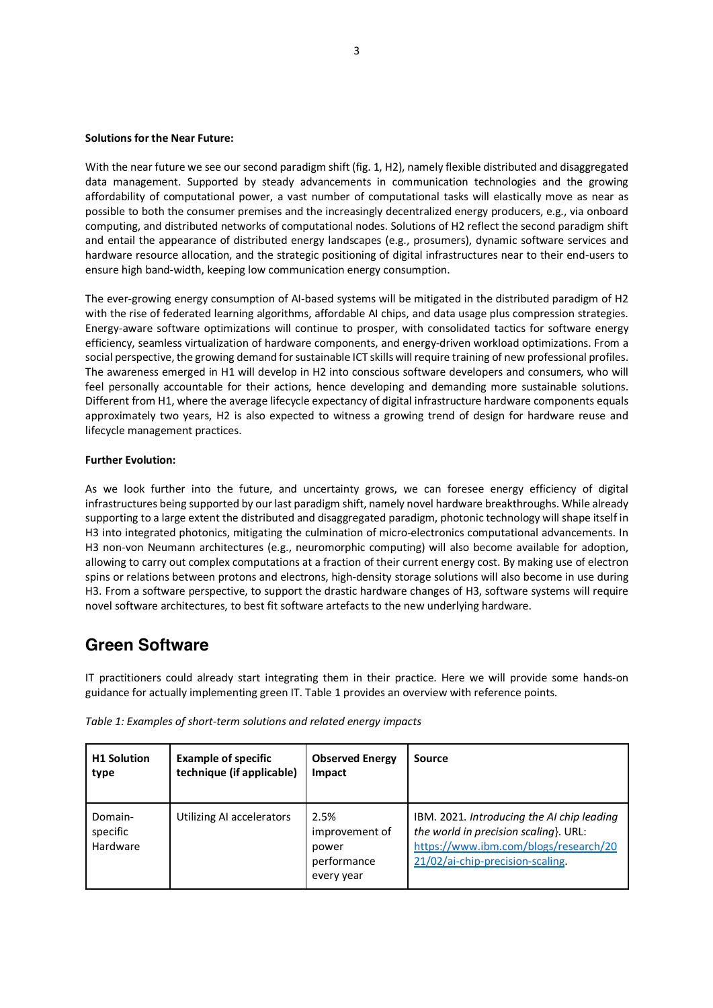#### **Solutions for the Near Future:**

With the near future we see our second paradigm shift (fig. 1, H2), namely flexible distributed and disaggregated data management. Supported by steady advancements in communication technologies and the growing affordability of computational power, a vast number of computational tasks will elastically move as near as possible to both the consumer premises and the increasingly decentralized energy producers, e.g., via onboard computing, and distributed networks of computational nodes. Solutions of H2 reflect the second paradigm shift and entail the appearance of distributed energy landscapes (e.g., prosumers), dynamic software services and hardware resource allocation, and the strategic positioning of digital infrastructures near to their end-users to ensure high band-width, keeping low communication energy consumption.

The ever-growing energy consumption of AI-based systems will be mitigated in the distributed paradigm of H2 with the rise of federated learning algorithms, affordable AI chips, and data usage plus compression strategies. Energy-aware software optimizations will continue to prosper, with consolidated tactics for software energy efficiency, seamless virtualization of hardware components, and energy-driven workload optimizations. From a social perspective, the growing demand for sustainable ICT skills will require training of new professional profiles. The awareness emerged in H1 will develop in H2 into conscious software developers and consumers, who will feel personally accountable for their actions, hence developing and demanding more sustainable solutions. Different from H1, where the average lifecycle expectancy of digital infrastructure hardware components equals approximately two years, H2 is also expected to witness a growing trend of design for hardware reuse and lifecycle management practices.

#### **Further Evolution:**

As we look further into the future, and uncertainty grows, we can foresee energy efficiency of digital infrastructures being supported by our last paradigm shift, namely novel hardware breakthroughs. While already supporting to a large extent the distributed and disaggregated paradigm, photonic technology will shape itself in H3 into integrated photonics, mitigating the culmination of micro-electronics computational advancements. In H3 non-von Neumann architectures (e.g., neuromorphic computing) will also become available for adoption, allowing to carry out complex computations at a fraction of their current energy cost. By making use of electron spins or relations between protons and electrons, high-density storage solutions will also become in use during H3. From a software perspective, to support the drastic hardware changes of H3, software systems will require novel software architectures, to best fit software artefacts to the new underlying hardware.

## **Green Software**

IT practitioners could already start integrating them in their practice. Here we will provide some hands-on guidance for actually implementing green IT. Table 1 provides an overview with reference points.

| <b>H1 Solution</b>              | <b>Example of specific</b> | <b>Observed Energy</b>                                       | <b>Source</b>                                                                                                                                                    |
|---------------------------------|----------------------------|--------------------------------------------------------------|------------------------------------------------------------------------------------------------------------------------------------------------------------------|
| type                            | technique (if applicable)  | Impact                                                       |                                                                                                                                                                  |
| Domain-<br>specific<br>Hardware | Utilizing AI accelerators  | 2.5%<br>improvement of<br>power<br>performance<br>every year | IBM. 2021. Introducing the AI chip leading<br>the world in precision scaling}. URL:<br>https://www.ibm.com/blogs/research/20<br>21/02/ai-chip-precision-scaling. |

*Table 1: Examples of short-term solutions and related energy impacts*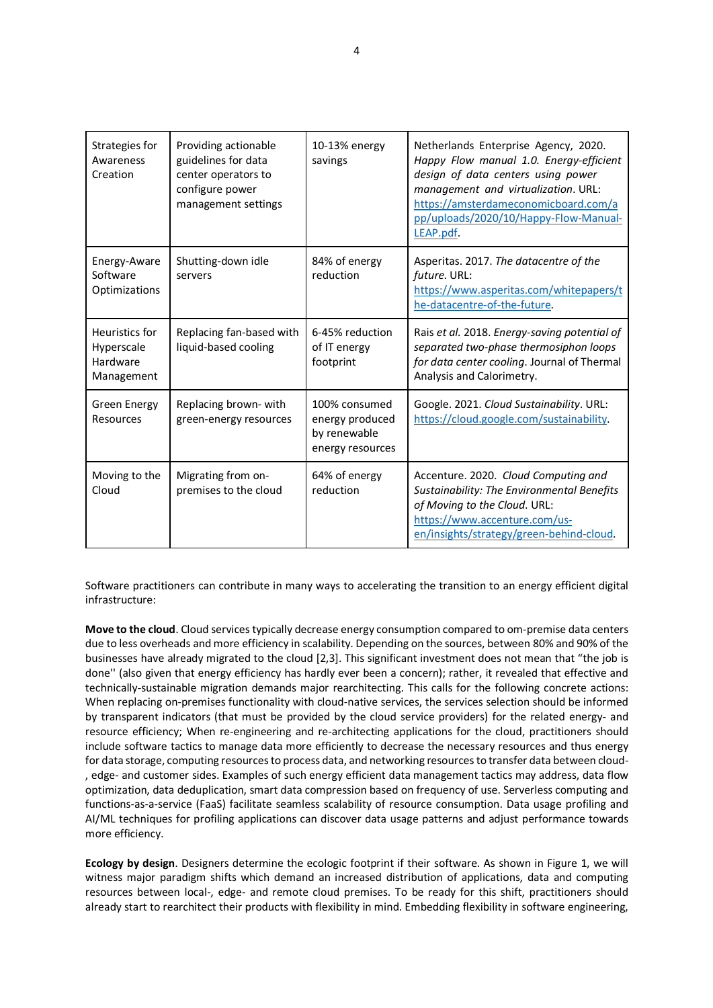| Strategies for<br>Awareness<br>Creation                | Providing actionable<br>guidelines for data<br>center operators to<br>configure power<br>management settings | 10-13% energy<br>savings                                             | Netherlands Enterprise Agency, 2020.<br>Happy Flow manual 1.0. Energy-efficient<br>design of data centers using power<br>management and virtualization. URL:<br>https://amsterdameconomicboard.com/a<br>pp/uploads/2020/10/Happy-Flow-Manual-<br>LEAP.pdf. |
|--------------------------------------------------------|--------------------------------------------------------------------------------------------------------------|----------------------------------------------------------------------|------------------------------------------------------------------------------------------------------------------------------------------------------------------------------------------------------------------------------------------------------------|
| Energy-Aware<br>Software<br>Optimizations              | Shutting-down idle<br>servers                                                                                | 84% of energy<br>reduction                                           | Asperitas. 2017. The datacentre of the<br>future. URL:<br>https://www.asperitas.com/whitepapers/t<br>he-datacentre-of-the-future.                                                                                                                          |
| Heuristics for<br>Hyperscale<br>Hardware<br>Management | Replacing fan-based with<br>liquid-based cooling                                                             | 6-45% reduction<br>of IT energy<br>footprint                         | Rais et al. 2018. Energy-saving potential of<br>separated two-phase thermosiphon loops<br>for data center cooling. Journal of Thermal<br>Analysis and Calorimetry.                                                                                         |
| <b>Green Energy</b><br>Resources                       | Replacing brown-with<br>green-energy resources                                                               | 100% consumed<br>energy produced<br>by renewable<br>energy resources | Google. 2021. Cloud Sustainability. URL:<br>https://cloud.google.com/sustainability                                                                                                                                                                        |
| Moving to the<br>Cloud                                 | Migrating from on-<br>premises to the cloud                                                                  | 64% of energy<br>reduction                                           | Accenture. 2020. Cloud Computing and<br>Sustainability: The Environmental Benefits<br>of Moving to the Cloud. URL:<br>https://www.accenture.com/us-<br>en/insights/strategy/green-behind-cloud.                                                            |

Software practitioners can contribute in many ways to accelerating the transition to an energy efficient digital infrastructure:

**Move to the cloud**. Cloud services typically decrease energy consumption compared to om-premise data centers due to less overheads and more efficiency in scalability. Depending on the sources, between 80% and 90% of the businesses have already migrated to the cloud [2,3]. This significant investment does not mean that "the job is done'' (also given that energy efficiency has hardly ever been a concern); rather, it revealed that effective and technically-sustainable migration demands major rearchitecting. This calls for the following concrete actions: When replacing on-premises functionality with cloud-native services, the services selection should be informed by transparent indicators (that must be provided by the cloud service providers) for the related energy- and resource efficiency; When re-engineering and re-architecting applications for the cloud, practitioners should include software tactics to manage data more efficiently to decrease the necessary resources and thus energy for data storage, computing resources to process data, and networking resources to transfer data between cloud- , edge- and customer sides. Examples of such energy efficient data management tactics may address, data flow optimization, data deduplication, smart data compression based on frequency of use. Serverless computing and functions-as-a-service (FaaS) facilitate seamless scalability of resource consumption. Data usage profiling and AI/ML techniques for profiling applications can discover data usage patterns and adjust performance towards more efficiency.

**Ecology by design**. Designers determine the ecologic footprint if their software. As shown in Figure 1, we will witness major paradigm shifts which demand an increased distribution of applications, data and computing resources between local-, edge- and remote cloud premises. To be ready for this shift, practitioners should already start to rearchitect their products with flexibility in mind. Embedding flexibility in software engineering,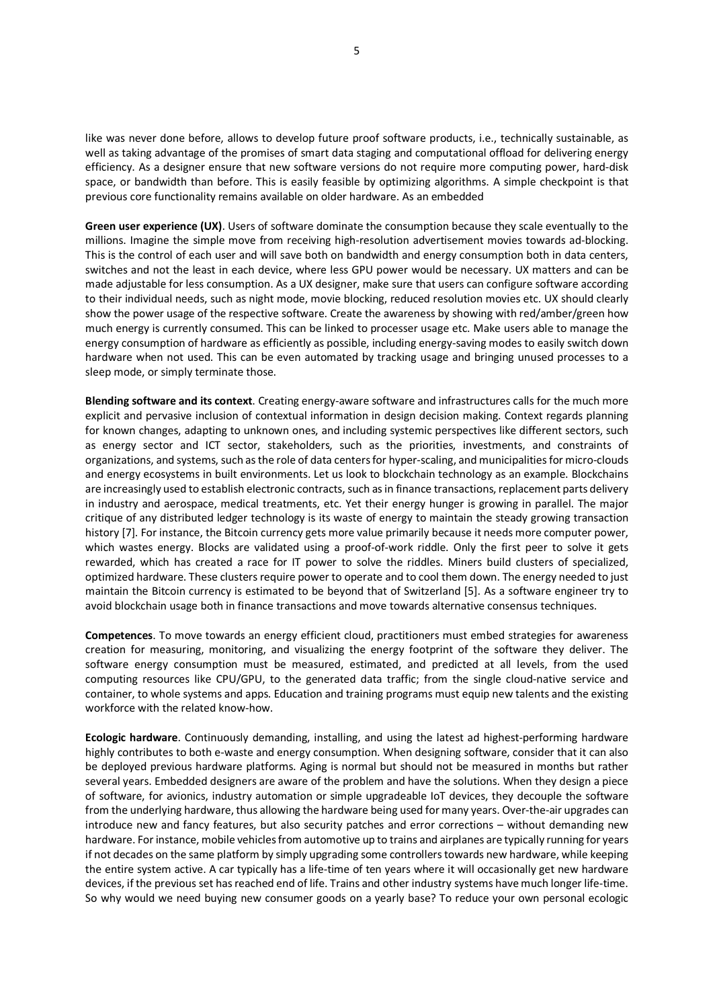like was never done before, allows to develop future proof software products, i.e., technically sustainable, as well as taking advantage of the promises of smart data staging and computational offload for delivering energy efficiency. As a designer ensure that new software versions do not require more computing power, hard-disk space, or bandwidth than before. This is easily feasible by optimizing algorithms. A simple checkpoint is that previous core functionality remains available on older hardware. As an embedded

**Green user experience (UX)**. Users of software dominate the consumption because they scale eventually to the millions. Imagine the simple move from receiving high-resolution advertisement movies towards ad-blocking. This is the control of each user and will save both on bandwidth and energy consumption both in data centers, switches and not the least in each device, where less GPU power would be necessary. UX matters and can be made adjustable for less consumption. As a UX designer, make sure that users can configure software according to their individual needs, such as night mode, movie blocking, reduced resolution movies etc. UX should clearly show the power usage of the respective software. Create the awareness by showing with red/amber/green how much energy is currently consumed. This can be linked to processer usage etc. Make users able to manage the energy consumption of hardware as efficiently as possible, including energy-saving modes to easily switch down hardware when not used. This can be even automated by tracking usage and bringing unused processes to a sleep mode, or simply terminate those.

**Blending software and its context**. Creating energy-aware software and infrastructures calls for the much more explicit and pervasive inclusion of contextual information in design decision making. Context regards planning for known changes, adapting to unknown ones, and including systemic perspectives like different sectors, such as energy sector and ICT sector, stakeholders, such as the priorities, investments, and constraints of organizations, and systems, such as the role of data centers for hyper-scaling, and municipalities for micro-clouds and energy ecosystems in built environments. Let us look to blockchain technology as an example. Blockchains are increasingly used to establish electronic contracts, such as in finance transactions, replacement parts delivery in industry and aerospace, medical treatments, etc. Yet their energy hunger is growing in parallel. The major critique of any distributed ledger technology is its waste of energy to maintain the steady growing transaction history [7]. For instance, the Bitcoin currency gets more value primarily because it needs more computer power, which wastes energy. Blocks are validated using a proof-of-work riddle. Only the first peer to solve it gets rewarded, which has created a race for IT power to solve the riddles. Miners build clusters of specialized, optimized hardware. These clusters require power to operate and to cool them down. The energy needed to just maintain the Bitcoin currency is estimated to be beyond that of Switzerland [5]. As a software engineer try to avoid blockchain usage both in finance transactions and move towards alternative consensus techniques.

**Competences**. To move towards an energy efficient cloud, practitioners must embed strategies for awareness creation for measuring, monitoring, and visualizing the energy footprint of the software they deliver. The software energy consumption must be measured, estimated, and predicted at all levels, from the used computing resources like CPU/GPU, to the generated data traffic; from the single cloud-native service and container, to whole systems and apps. Education and training programs must equip new talents and the existing workforce with the related know-how.

**Ecologic hardware**. Continuously demanding, installing, and using the latest ad highest-performing hardware highly contributes to both e-waste and energy consumption. When designing software, consider that it can also be deployed previous hardware platforms. Aging is normal but should not be measured in months but rather several years. Embedded designers are aware of the problem and have the solutions. When they design a piece of software, for avionics, industry automation or simple upgradeable IoT devices, they decouple the software from the underlying hardware, thus allowing the hardware being used for many years. Over-the-air upgrades can introduce new and fancy features, but also security patches and error corrections – without demanding new hardware. For instance, mobile vehicles from automotive up to trains and airplanes are typically running for years if not decades on the same platform by simply upgrading some controllers towards new hardware, while keeping the entire system active. A car typically has a life-time of ten years where it will occasionally get new hardware devices, if the previous set has reached end of life. Trains and other industry systems have much longer life-time. So why would we need buying new consumer goods on a yearly base? To reduce your own personal ecologic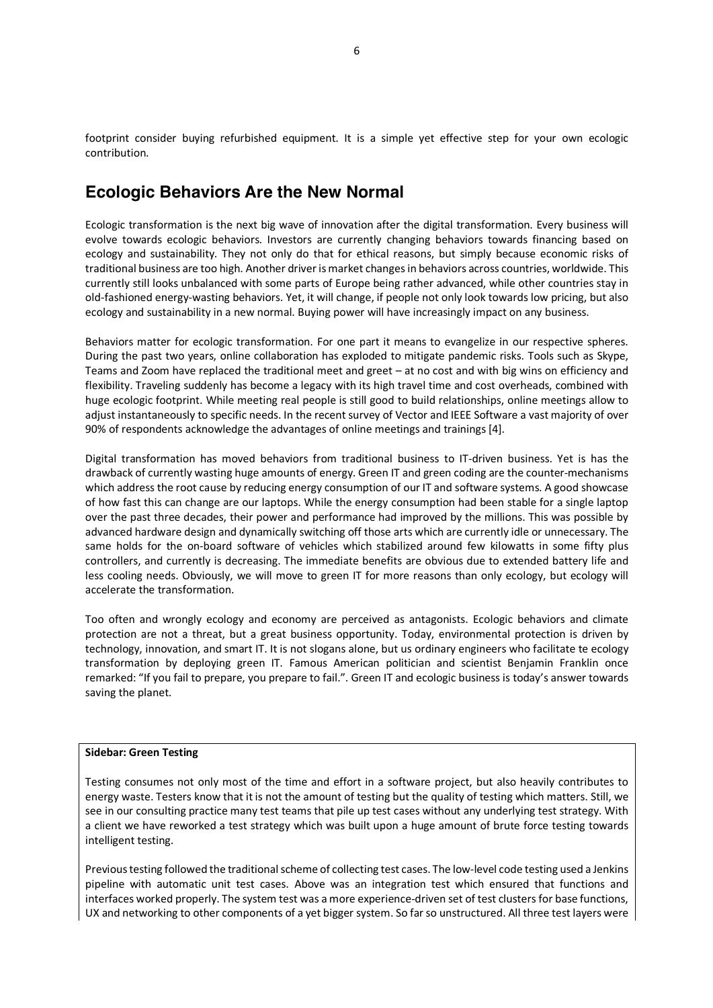footprint consider buying refurbished equipment. It is a simple yet effective step for your own ecologic contribution.

## **Ecologic Behaviors Are the New Normal**

Ecologic transformation is the next big wave of innovation after the digital transformation. Every business will evolve towards ecologic behaviors. Investors are currently changing behaviors towards financing based on ecology and sustainability. They not only do that for ethical reasons, but simply because economic risks of traditional business are too high. Another driver is market changes in behaviors across countries, worldwide. This currently still looks unbalanced with some parts of Europe being rather advanced, while other countries stay in old-fashioned energy-wasting behaviors. Yet, it will change, if people not only look towards low pricing, but also ecology and sustainability in a new normal. Buying power will have increasingly impact on any business.

Behaviors matter for ecologic transformation. For one part it means to evangelize in our respective spheres. During the past two years, online collaboration has exploded to mitigate pandemic risks. Tools such as Skype, Teams and Zoom have replaced the traditional meet and greet – at no cost and with big wins on efficiency and flexibility. Traveling suddenly has become a legacy with its high travel time and cost overheads, combined with huge ecologic footprint. While meeting real people is still good to build relationships, online meetings allow to adjust instantaneously to specific needs. In the recent survey of Vector and IEEE Software a vast majority of over 90% of respondents acknowledge the advantages of online meetings and trainings [4].

Digital transformation has moved behaviors from traditional business to IT-driven business. Yet is has the drawback of currently wasting huge amounts of energy. Green IT and green coding are the counter-mechanisms which address the root cause by reducing energy consumption of our IT and software systems. A good showcase of how fast this can change are our laptops. While the energy consumption had been stable for a single laptop over the past three decades, their power and performance had improved by the millions. This was possible by advanced hardware design and dynamically switching off those arts which are currently idle or unnecessary. The same holds for the on-board software of vehicles which stabilized around few kilowatts in some fifty plus controllers, and currently is decreasing. The immediate benefits are obvious due to extended battery life and less cooling needs. Obviously, we will move to green IT for more reasons than only ecology, but ecology will accelerate the transformation.

Too often and wrongly ecology and economy are perceived as antagonists. Ecologic behaviors and climate protection are not a threat, but a great business opportunity. Today, environmental protection is driven by technology, innovation, and smart IT. It is not slogans alone, but us ordinary engineers who facilitate te ecology transformation by deploying green IT. Famous American politician and scientist Benjamin Franklin once remarked: "If you fail to prepare, you prepare to fail.". Green IT and ecologic business is today's answer towards saving the planet.

#### **Sidebar: Green Testing**

Testing consumes not only most of the time and effort in a software project, but also heavily contributes to energy waste. Testers know that it is not the amount of testing but the quality of testing which matters. Still, we see in our consulting practice many test teams that pile up test cases without any underlying test strategy. With a client we have reworked a test strategy which was built upon a huge amount of brute force testing towards intelligent testing.

Previous testing followed the traditional scheme of collecting test cases. The low-level code testing used a Jenkins pipeline with automatic unit test cases. Above was an integration test which ensured that functions and interfaces worked properly. The system test was a more experience-driven set of test clusters for base functions, UX and networking to other components of a yet bigger system. So far so unstructured. All three test layers were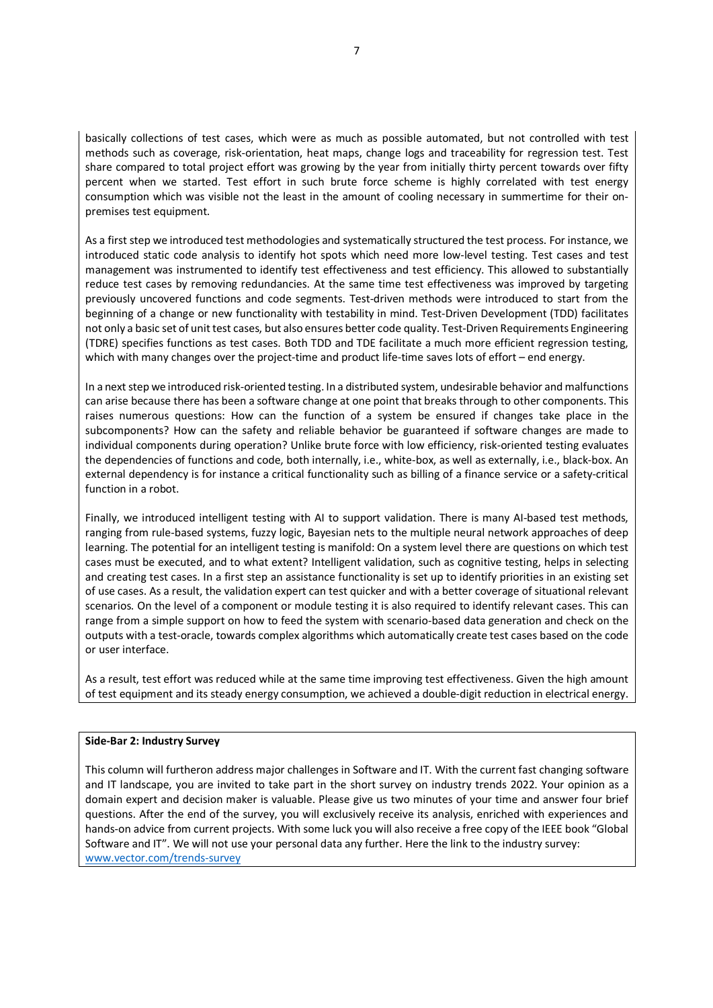basically collections of test cases, which were as much as possible automated, but not controlled with test methods such as coverage, risk-orientation, heat maps, change logs and traceability for regression test. Test share compared to total project effort was growing by the year from initially thirty percent towards over fifty percent when we started. Test effort in such brute force scheme is highly correlated with test energy consumption which was visible not the least in the amount of cooling necessary in summertime for their onpremises test equipment.

As a first step we introduced test methodologies and systematically structured the test process. For instance, we introduced static code analysis to identify hot spots which need more low-level testing. Test cases and test management was instrumented to identify test effectiveness and test efficiency. This allowed to substantially reduce test cases by removing redundancies. At the same time test effectiveness was improved by targeting previously uncovered functions and code segments. Test-driven methods were introduced to start from the beginning of a change or new functionality with testability in mind. Test-Driven Development (TDD) facilitates not only a basic set of unit test cases, but also ensures better code quality. Test-Driven Requirements Engineering (TDRE) specifies functions as test cases. Both TDD and TDE facilitate a much more efficient regression testing, which with many changes over the project-time and product life-time saves lots of effort – end energy.

In a next step we introduced risk-oriented testing. In a distributed system, undesirable behavior and malfunctions can arise because there has been a software change at one point that breaks through to other components. This raises numerous questions: How can the function of a system be ensured if changes take place in the subcomponents? How can the safety and reliable behavior be guaranteed if software changes are made to individual components during operation? Unlike brute force with low efficiency, risk-oriented testing evaluates the dependencies of functions and code, both internally, i.e., white-box, as well as externally, i.e., black-box. An external dependency is for instance a critical functionality such as billing of a finance service or a safety-critical function in a robot.

Finally, we introduced intelligent testing with AI to support validation. There is many AI-based test methods, ranging from rule-based systems, fuzzy logic, Bayesian nets to the multiple neural network approaches of deep learning. The potential for an intelligent testing is manifold: On a system level there are questions on which test cases must be executed, and to what extent? Intelligent validation, such as cognitive testing, helps in selecting and creating test cases. In a first step an assistance functionality is set up to identify priorities in an existing set of use cases. As a result, the validation expert can test quicker and with a better coverage of situational relevant scenarios. On the level of a component or module testing it is also required to identify relevant cases. This can range from a simple support on how to feed the system with scenario-based data generation and check on the outputs with a test-oracle, towards complex algorithms which automatically create test cases based on the code or user interface.

As a result, test effort was reduced while at the same time improving test effectiveness. Given the high amount of test equipment and its steady energy consumption, we achieved a double-digit reduction in electrical energy.

#### **Side-Bar 2: Industry Survey**

This column will furtheron address major challenges in Software and IT. With the current fast changing software and IT landscape, you are invited to take part in the short survey on industry trends 2022. Your opinion as a domain expert and decision maker is valuable. Please give us two minutes of your time and answer four brief questions. After the end of the survey, you will exclusively receive its analysis, enriched with experiences and hands-on advice from current projects. With some luck you will also receive a free copy of the IEEE book "Global Software and IT". We will not use your personal data any further. Here the link to the industry survey: www.vector.com/trends-survey